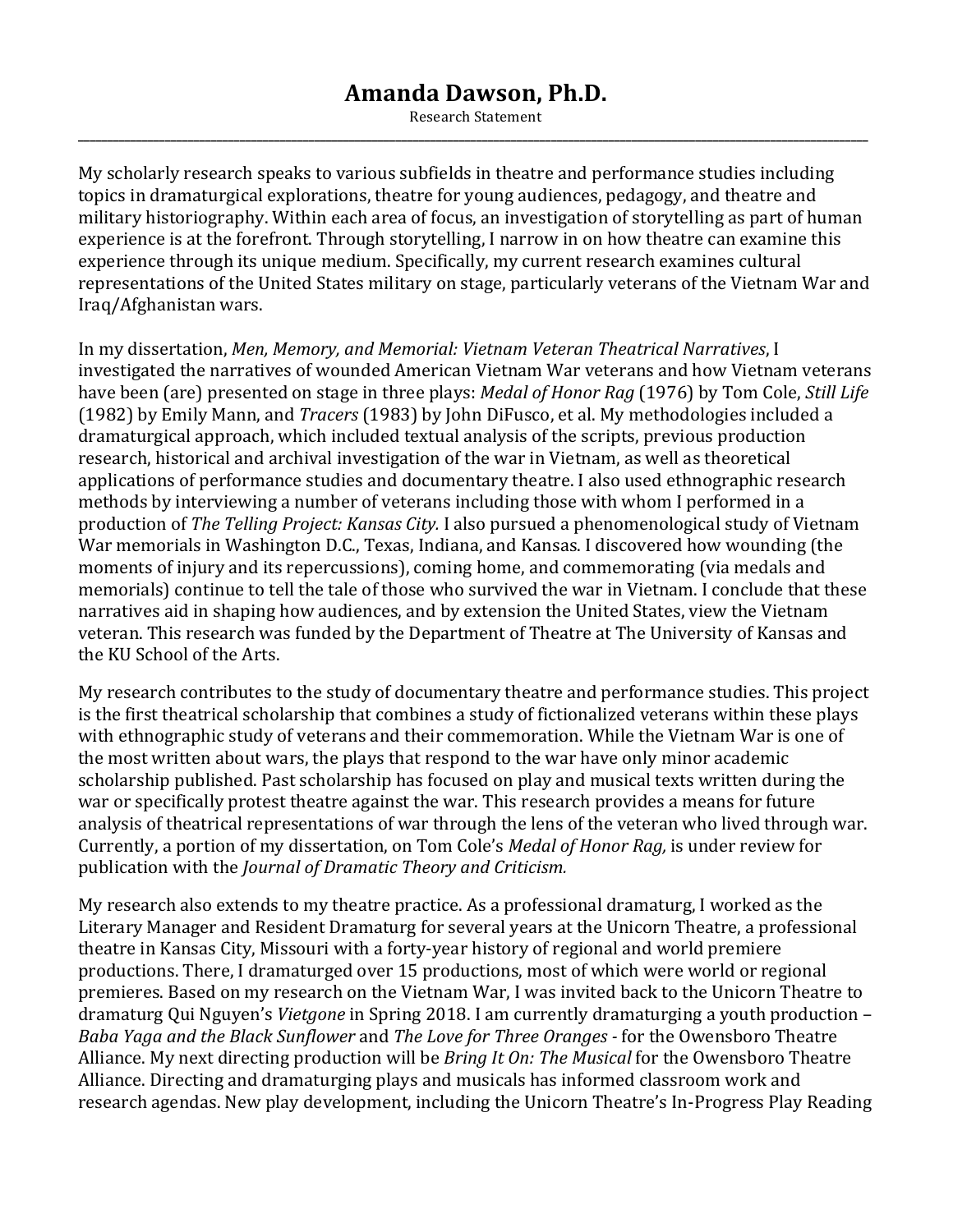## **Amanda Dawson, Ph.D.**

Research Statement **\_\_\_\_\_\_\_\_\_\_\_\_\_\_\_\_\_\_\_\_\_\_\_\_\_\_\_\_\_\_\_\_\_\_\_\_\_\_\_\_\_\_\_\_\_\_\_\_\_\_\_\_\_\_\_\_\_\_\_\_\_\_\_\_\_\_\_\_\_\_\_\_\_\_\_\_\_\_\_\_\_\_\_\_\_\_\_\_\_\_\_\_\_\_\_\_\_\_\_\_\_\_\_\_\_\_\_\_\_\_\_\_\_\_\_\_\_\_\_\_\_\_\_\_\_\_\_\_\_\_\_\_\_\_\_\_\_**

My scholarly research speaks to various subfields in theatre and performance studies including topics in dramaturgical explorations, theatre for young audiences, pedagogy, and theatre and military historiography. Within each area of focus, an investigation of storytelling as part of human experience is at the forefront. Through storytelling, I narrow in on how theatre can examine this experience through its unique medium. Specifically, my current research examines cultural representations of the United States military on stage, particularly veterans of the Vietnam War and Iraq/Afghanistan wars. 

In my dissertation, Men, Memory, and Memorial: Vietnam Veteran Theatrical Narratives, I investigated the narratives of wounded American Vietnam War veterans and how Vietnam veterans have been (are) presented on stage in three plays: *Medal of Honor Rag* (1976) by Tom Cole, *Still Life* (1982) by Emily Mann, and *Tracers* (1983) by John DiFusco, et al. My methodologies included a dramaturgical approach, which included textual analysis of the scripts, previous production research, historical and archival investigation of the war in Vietnam, as well as theoretical applications of performance studies and documentary theatre. I also used ethnographic research methods by interviewing a number of veterans including those with whom I performed in a production of *The Telling Project: Kansas City.* I also pursued a phenomenological study of Vietnam War memorials in Washington D.C., Texas, Indiana, and Kansas. I discovered how wounding (the moments of injury and its repercussions), coming home, and commemorating (via medals and memorials) continue to tell the tale of those who survived the war in Vietnam. I conclude that these narratives aid in shaping how audiences, and by extension the United States, view the Vietnam veteran. This research was funded by the Department of Theatre at The University of Kansas and the KU School of the Arts.

My research contributes to the study of documentary theatre and performance studies. This project is the first theatrical scholarship that combines a study of fictionalized veterans within these plays with ethnographic study of veterans and their commemoration. While the Vietnam War is one of the most written about wars, the plays that respond to the war have only minor academic scholarship published. Past scholarship has focused on play and musical texts written during the war or specifically protest theatre against the war. This research provides a means for future analysis of theatrical representations of war through the lens of the veteran who lived through war. Currently, a portion of my dissertation, on Tom Cole's *Medal of Honor Rag*, is under review for publication with the *Journal of Dramatic Theory and Criticism.* 

My research also extends to my theatre practice. As a professional dramaturg, I worked as the Literary Manager and Resident Dramaturg for several years at the Unicorn Theatre, a professional theatre in Kansas City, Missouri with a forty-year history of regional and world premiere productions. There, I dramaturged over 15 productions, most of which were world or regional premieres. Based on my research on the Vietnam War, I was invited back to the Unicorn Theatre to dramaturg Qui Nguyen's *Vietgone* in Spring 2018. I am currently dramaturging a youth production – *Baba Yaga and the Black Sunflower* and *The Love for Three Oranges* - for the Owensboro Theatre Alliance. My next directing production will be *Bring It On: The Musical* for the Owensboro Theatre Alliance. Directing and dramaturging plays and musicals has informed classroom work and research agendas. New play development, including the Unicorn Theatre's In-Progress Play Reading